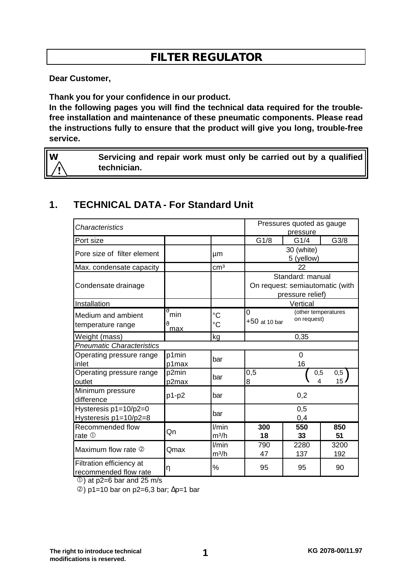# **FILTER REGULATOR**

**Dear Customer,**

**Thank you for your confidence in our product.**

**In the following pages you will find the technical data required for the troublefree installation and maintenance of these pneumatic components. Please read the instructions fully to ensure that the product will give you long, trouble-free service.**

**W Servicing and repair work must only be carried out by a qualified technician.**

# **1. TECHNICAL DATA - For Standard Unit**

| Characteristics                                   |                       |                                | Pressures quoted as gauge<br>pressure                                   |                                    |                        |
|---------------------------------------------------|-----------------------|--------------------------------|-------------------------------------------------------------------------|------------------------------------|------------------------|
| Port size                                         |                       |                                | G1/8                                                                    | G1/4                               | G3/8                   |
| Pore size of filter element                       |                       | μm                             | 30 (white)<br>5 (yellow)                                                |                                    |                        |
| Max. condensate capacity                          |                       | cm <sup>3</sup>                | 22                                                                      |                                    |                        |
| Condensate drainage                               |                       |                                | Standard: manual<br>On request: semiautomatic (with<br>pressure relief) |                                    |                        |
| Installation                                      |                       |                                | Vertical                                                                |                                    |                        |
| Medium and ambient<br>temperature range           | rf<br>min<br>v<br>max | $\rm ^{\circ}C$<br>$^{\circ}C$ | 0<br>$+50$ at 10 bar                                                    | (other temperatures<br>on request) |                        |
| Weight (mass)                                     |                       | kg                             | 0,35                                                                    |                                    |                        |
| <b>Pneumatic Characteristics</b>                  |                       |                                |                                                                         |                                    |                        |
| Operating pressure range<br>inlet                 | p1min<br>p1max        | bar                            | 0<br>16                                                                 |                                    |                        |
| Operating pressure range<br>outlet                | p2min<br>p2max        | bar                            | 0,5<br>8                                                                | 0,5<br>4                           | 0,5<br>15 <sub>1</sub> |
| Minimum pressure<br>difference                    | p1-p2                 | bar                            | 0,2                                                                     |                                    |                        |
| Hysteresis $p1=10/p2=0$<br>Hysteresis p1=10/p2=8  |                       | bar                            | 0,5<br>0,4                                                              |                                    |                        |
| Recommended flow<br>rate $0$                      | Qn                    | l/min<br>$m^3/h$               | 300<br>18                                                               | 550<br>33                          | 850<br>51              |
| Maximum flow rate 2                               | Qmax                  | l/min<br>$m^3/h$               | 790<br>47                                                               | 2280<br>137                        | 3200<br>192            |
| Filtration efficiency at<br>recommended flow rate | η                     | %                              | 95                                                                      | 95                                 | 90                     |

 $\circled{1}$ ) at p2=6 bar and 25 m/s

 $\circledcirc$ ) p1=10 bar on p2=6,3 bar;  $\Delta p=1$  bar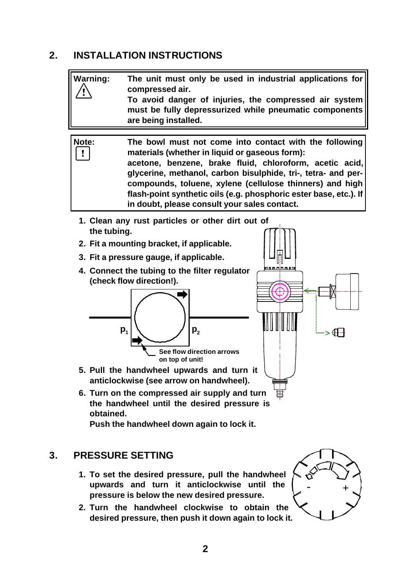# **2. INSTALLATION INSTRUCTIONS**

| <b>Warning:</b> | The unit must only be used in industrial applications for<br>compressed air.<br>To avoid danger of injuries, the compressed air system<br>must be fully depressurized while pneumatic components<br>are being installed.                                                                                                                                                                                              |
|-----------------|-----------------------------------------------------------------------------------------------------------------------------------------------------------------------------------------------------------------------------------------------------------------------------------------------------------------------------------------------------------------------------------------------------------------------|
|                 |                                                                                                                                                                                                                                                                                                                                                                                                                       |
| Note:           | The bowl must not come into contact with the following<br>materials (whether in liquid or gaseous form):<br>acetone, benzene, brake fluid, chloroform, acetic acid,<br>glycerine, methanol, carbon bisulphide, tri-, tetra- and per-<br>compounds, toluene, xylene (cellulose thinners) and high<br>flash-point synthetic oils (e.g. phosphoric ester base, etc.). If<br>in doubt, please consult your sales contact. |
| the tubing.     | 1. Clean any rust particles or other dirt out of                                                                                                                                                                                                                                                                                                                                                                      |

- **2. Fit a mounting bracket, if applicable.**
- **3. Fit a pressure gauge, if applicable.**
- **4. Connect the tubing to the filter regulator (check flow direction!).**





- **5. Pull the handwheel upwards and turn it anticlockwise (see arrow on handwheel).**
- **6. Turn on the compressed air supply and turn the handwheel until the desired pressure is obtained.**

**Push the handwheel down again to lock it.**

### **3. PRESSURE SETTING**

- **1. To set the desired pressure, pull the handwheel upwards and turn it anticlockwise until the pressure is below the new desired pressure.**
- **2. Turn the handwheel clockwise to obtain the desired pressure, then push it down again to lock it.**

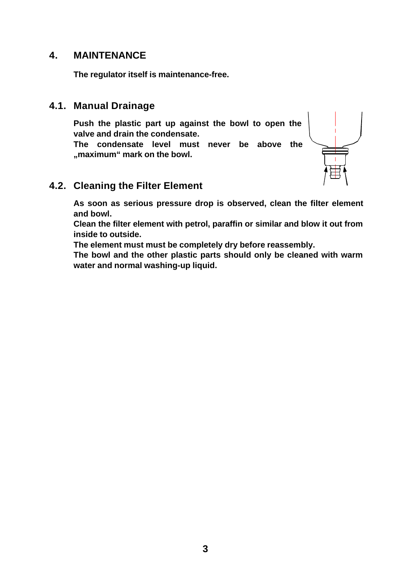#### **4. MAINTENANCE**

**The regulator itself is maintenance-free.**

#### **4.1. Manual Drainage**

**Push the plastic part up against the bowl to open the valve and drain the condensate. The condensate level must never be above the "maximum" mark on the bowl.**



#### **4.2. Cleaning the Filter Element**

**As soon as serious pressure drop is observed, clean the filter element and bowl.**

**Clean the filter element with petrol, paraffin or similar and blow it out from inside to outside.**

**The element must must be completely dry before reassembly.**

**The bowl and the other plastic parts should only be cleaned with warm water and normal washing-up liquid.**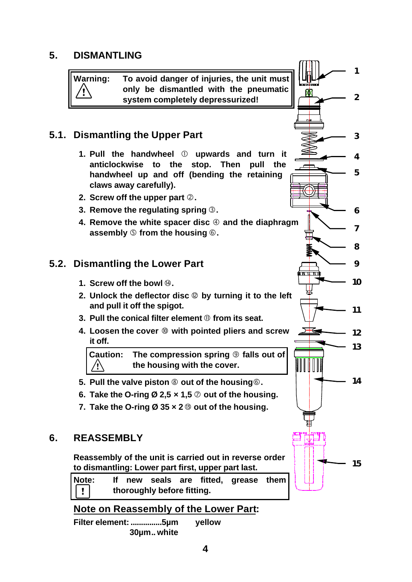### **5. DISMANTLING**

**Warning: To avoid danger of injuries, the unit must only be dismantled with the pneumatic system completely depressurized!**

**2**

**1**

**3**

**4**

**5**

**6**

**7**

**8**

**9**

**10**

Ψ

**11**

**12**

**13**

**14**

**15**

# **5.1. Dismantling the Upper Part**

- **1. Pull the handwheel** Å **upwards and turn it anticlockwise to the stop. Then pull the handwheel up and off (bending the retaining claws away carefully).**
- **2. Screw off the upper part** Ç**.**
- **3. Remove the regulating spring** É**.**
- **4.** Remove the white spacer disc  $\circledA$  and the diaphragm **assembly** Ö **from the housing** Ü**.**

### **5.2. Dismantling the Lower Part**

- **1. Screw off the bowl**  $@$ **.**
- **2. Unlock the deflector disc** å **by turning it to the left and pull it off the spigot.**
- **3. Pull the conical filter element** ã **from its seat.**
- **4. Loosen the cover** ä **with pointed pliers and screw it off.**

**Caution: The compression spring** â **falls out of the housing with the cover.** /!∖

- **5. Pull the valve piston** à **out of the housing**Ü**.**
- **6.** Take the O-ring  $\varnothing$  2,5  $\times$  1,5  $\oslash$  out of the housing.
- **7. Take the O-ring Ø 35 × 2** ë **out of the housing.**

#### **6. REASSEMBLY**

**Reassembly of the unit is carried out in reverse order to dismantling: Lower part first, upper part last.**

**Note: If new seals are fitted, grease them**  $\pmb{\mathsf{v}}$ **thoroughly before fitting.**

#### **Note on Reassembly of the Lower Part:**

**Filter element: ...............5µm yellow 30µm.. white**

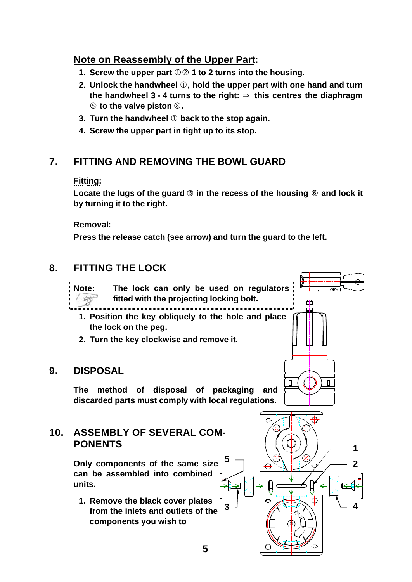# **Note on Reassembly of the Upper Part:**

- **1. Screw the upper part**  $\mathbb{O} \oslash 1$  **to 2 turns into the housing.**
- **2. Unlock the handwheel** Å**, hold the upper part with one hand and turn the handwheel 3 - 4 turns to the right: Þ this centres the diaphragm** Ö **to the valve piston** à**.**
- **3. Turn the handwheel** Å **back to the stop again.**
- **4. Screw the upper part in tight up to its stop.**

# **7. FITTING AND REMOVING THE BOWL GUARD**

#### **Fitting:**

Locate the lugs of the guard  $\circledcirc$  in the recess of the housing  $\circledcirc$  and lock it **by turning it to the right.**

**Removal:**

**Press the release catch (see arrow) and turn the guard to the left.**

# **8. FITTING THE LOCK**

**Note: The lock can only be used on regulators fitted with the projecting locking bolt. CR** ------------------**1. Position the key obliquely to the hole and place the lock on the peg.**

**2. Turn the key clockwise and remove it.**

### **9. DISPOSAL**

**The method of disposal of packaging and discarded parts must comply with local regulations.**

# **10. ASSEMBLY OF SEVERAL COM-PONENTS**

**Only components of the same size can be assembled into combined units.**

**1. Remove the black cover plates from the inlets and outlets of the components you wish to**